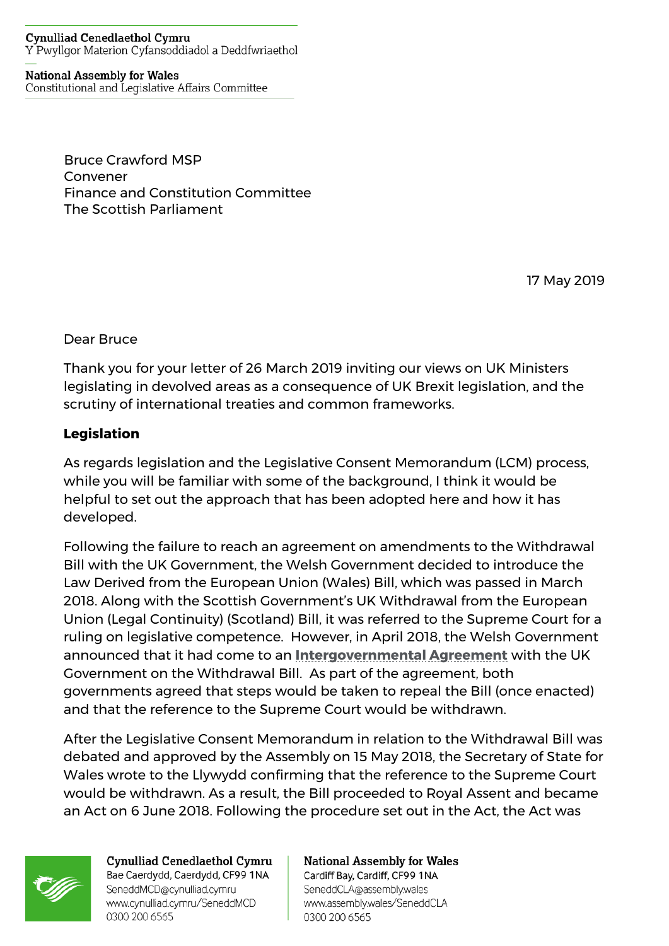#### **Cynulliad Cenedlaethol Cymru** Y Pwyllgor Materion Cyfansoddiadol a Deddfwriaethol

### **National Assembly for Wales**

Constitutional and Legislative Affairs Committee

Bruce Crawford MSP Convener Finance and Constitution Committee The Scottish Parliament

17 May 2019

Dear Bruce

Thank you for your letter of 26 March 2019 inviting our views on UK Ministers legislating in devolved areas as a consequence of UK Brexit legislation, and the scrutiny of international treaties and common frameworks.

# **Legislation**

As regards legislation and the Legislative Consent Memorandum (LCM) process, while you will be familiar with some of the background, I think it would be helpful to set out the approach that has been adopted here and how it has developed.

Following the failure to reach an agreement on amendments to the Withdrawal Bill with the UK Government, the Welsh Government decided to introduce the Law Derived from the European Union (Wales) Bill, which was passed in March 2018. Along with the Scottish Government's UK Withdrawal from the European Union (Legal Continuity) (Scotland) Bill, it was referred to the Supreme Court for a ruling on legislative competence. However, in April 2018, the Welsh Government announced that it had come to an **[Intergovernmental Agreement](https://www.gov.uk/government/publications/intergovernmental-agreement-on-the-european-union-withdrawal-bill)** with the UK Government on the Withdrawal Bill. As part of the agreement, both governments agreed that steps would be taken to repeal the Bill (once enacted) and that the reference to the Supreme Court would be withdrawn.

After the Legislative Consent Memorandum in relation to the Withdrawal Bill was debated and approved by the Assembly on 15 May 2018, the Secretary of State for Wales wrote to the Llywydd confirming that the reference to the Supreme Court would be withdrawn. As a result, the Bill proceeded to Royal Assent and became an Act on 6 June 2018. Following the procedure set out in the Act, the Act was



Cynulliad Cenedlaethol Cymru Bae Caerdydd, Caerdydd, CF99 1NA SeneddMCD@cynulliad.cymru www.cynulliad.cymru/SeneddMCD 0300 200 6565

### **National Assembly for Wales** Cardiff Bay, Cardiff, CF99 1NA

SeneddCLA@assembly.wales www.assembly.wales/SeneddCLA 0300 200 6565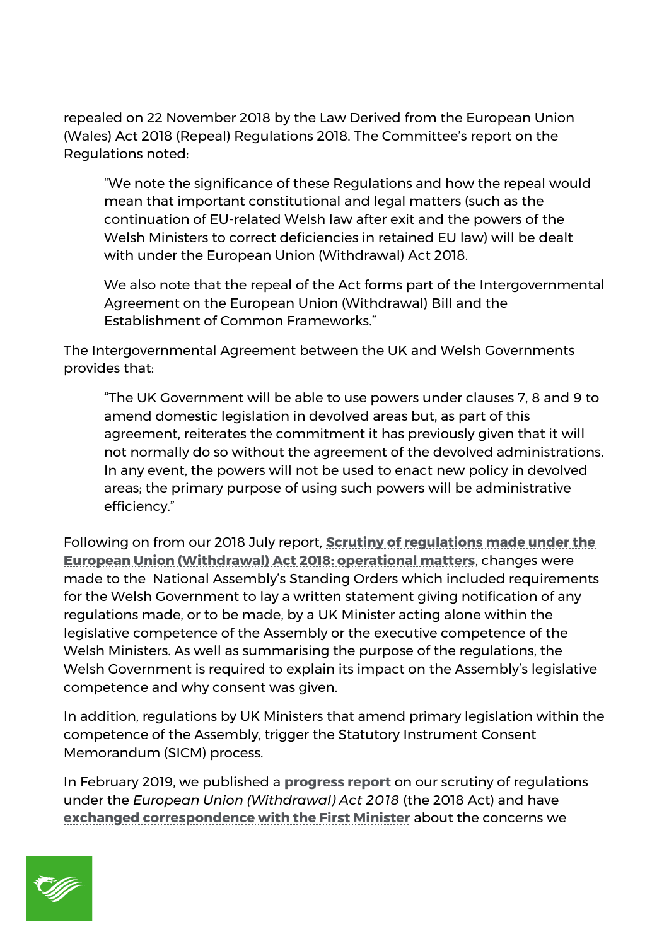repealed on 22 November 2018 by the Law Derived from the European Union (Wales) Act 2018 (Repeal) Regulations 2018. The Committee's report on the Regulations noted:

"We note the significance of these Regulations and how the repeal would mean that important constitutional and legal matters (such as the continuation of EU-related Welsh law after exit and the powers of the Welsh Ministers to correct deficiencies in retained EU law) will be dealt with under the European Union (Withdrawal) Act 2018.

We also note that the repeal of the Act forms part of the Intergovernmental Agreement on the European Union (Withdrawal) Bill and the Establishment of Common Frameworks."

The Intergovernmental Agreement between the UK and Welsh Governments provides that:

"The UK Government will be able to use powers under clauses 7, 8 and 9 to amend domestic legislation in devolved areas but, as part of this agreement, reiterates the commitment it has previously given that it will not normally do so without the agreement of the devolved administrations. In any event, the powers will not be used to enact new policy in devolved areas; the primary purpose of using such powers will be administrative efficiency."

Following on from our 2018 July report, **[Scrutiny of regulations made under the](http://www.assembly.wales/laid%20documents/cr-ld11654/cr-ld11654-e.pdf)  [European Union \(Withdrawal\) Act 2018: operational matters](http://www.assembly.wales/laid%20documents/cr-ld11654/cr-ld11654-e.pdf)**, changes were made to the National Assembly's Standing Orders which included requirements for the Welsh Government to lay a written statement giving notification of any regulations made, or to be made, by a UK Minister acting alone within the legislative competence of the Assembly or the executive competence of the Welsh Ministers. As well as summarising the purpose of the regulations, the Welsh Government is required to explain its impact on the Assembly's legislative competence and why consent was given.

In addition, regulations by UK Ministers that amend primary legislation within the competence of the Assembly, trigger the Statutory Instrument Consent Memorandum (SICM) process.

In February 2019, we published a **[progress report](http://www.assembly.wales/laid%20documents/cr-ld12128/cr-ld12128-e.pdf)** on our scrutiny of regulations under the *European Union (Withdrawal) Act 2018* (the 2018 Act) and have **[exchanged correspondence with the First Minister](http://senedd.assembly.wales/mgIssueHistoryHome.aspx?IId=20801)** about the concerns we

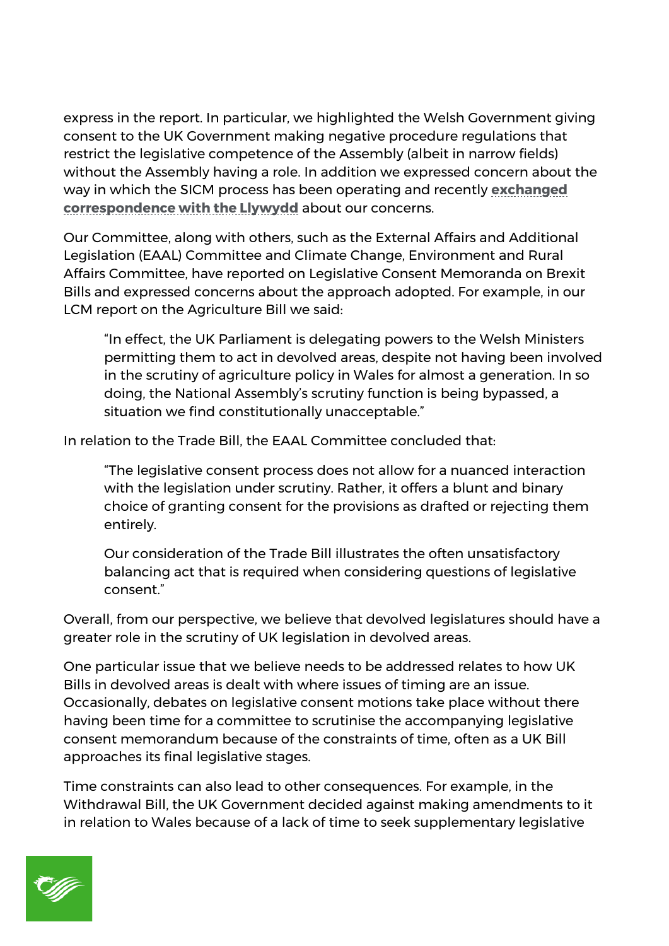express in the report. In particular, we highlighted the Welsh Government giving consent to the UK Government making negative procedure regulations that restrict the legislative competence of the Assembly (albeit in narrow fields) without the Assembly having a role. In addition we expressed concern about the way in which the SICM process has been operating and recently **[exchanged](http://senedd.assembly.wales/mgIssueHistoryHome.aspx?IId=18641)  [correspondence with the Llywydd](http://senedd.assembly.wales/mgIssueHistoryHome.aspx?IId=18641)** about our concerns.

Our Committee, along with others, such as the External Affairs and Additional Legislation (EAAL) Committee and Climate Change, Environment and Rural Affairs Committee, have reported on Legislative Consent Memoranda on Brexit Bills and expressed concerns about the approach adopted. For example, in our LCM report on the Agriculture Bill we said:

"In effect, the UK Parliament is delegating powers to the Welsh Ministers permitting them to act in devolved areas, despite not having been involved in the scrutiny of agriculture policy in Wales for almost a generation. In so doing, the National Assembly's scrutiny function is being bypassed, a situation we find constitutionally unacceptable."

In relation to the Trade Bill, the EAAL Committee concluded that:

"The legislative consent process does not allow for a nuanced interaction with the legislation under scrutiny. Rather, it offers a blunt and binary choice of granting consent for the provisions as drafted or rejecting them entirely.

Our consideration of the Trade Bill illustrates the often unsatisfactory balancing act that is required when considering questions of legislative consent."

Overall, from our perspective, we believe that devolved legislatures should have a greater role in the scrutiny of UK legislation in devolved areas.

One particular issue that we believe needs to be addressed relates to how UK Bills in devolved areas is dealt with where issues of timing are an issue. Occasionally, debates on legislative consent motions take place without there having been time for a committee to scrutinise the accompanying legislative consent memorandum because of the constraints of time, often as a UK Bill approaches its final legislative stages.

Time constraints can also lead to other consequences. For example, in the Withdrawal Bill, the UK Government decided against making amendments to it in relation to Wales because of a lack of time to seek supplementary legislative

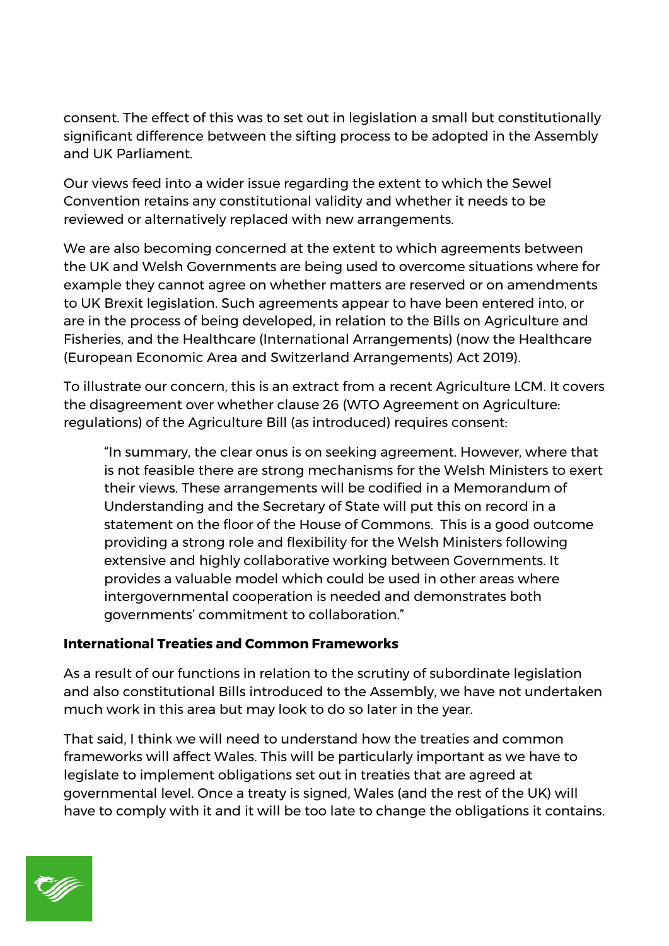consent. The effect of this was to set out in legislation a small but constitutionally significant difference between the sifting process to be adopted in the Assembly and UK Parliament.

Our views feed into a wider issue regarding the extent to which the Sewel Convention retains any constitutional validity and whether it needs to be reviewed or alternatively replaced with new arrangements.

We are also becoming concerned at the extent to which agreements between the UK and Welsh Governments are being used to overcome situations where for example they cannot agree on whether matters are reserved or on amendments to UK Brexit legislation. Such agreements appear to have been entered into, or are in the process of being developed, in relation to the Bills on Agriculture and Fisheries, and the Healthcare (International Arrangements) (now the Healthcare (European Economic Area and Switzerland Arrangements) Act 2019).

To illustrate our concern, this is an extract from a recent Agriculture LCM. It covers the disagreement over whether clause 26 (WTO Agreement on Agriculture: regulations) of the Agriculture Bill (as introduced) requires consent:

"In summary, the clear onus is on seeking agreement. However, where that is not feasible there are strong mechanisms for the Welsh Ministers to exert their views. These arrangements will be codified in a Memorandum of Understanding and the Secretary of State will put this on record in a statement on the floor of the House of Commons. This is a good outcome providing a strong role and flexibility for the Welsh Ministers following extensive and highly collaborative working between Governments. It provides a valuable model which could be used in other areas where intergovernmental cooperation is needed and demonstrates both governments' commitment to collaboration."

## **International Treaties and Common Frameworks**

As a result of our functions in relation to the scrutiny of subordinate legislation and also constitutional Bills introduced to the Assembly, we have not undertaken much work in this area but may look to do so later in the year.

That said, I think we will need to understand how the treaties and common frameworks will affect Wales. This will be particularly important as we have to legislate to implement obligations set out in treaties that are agreed at governmental level. Once a treaty is signed, Wales (and the rest of the UK) will have to comply with it and it will be too late to change the obligations it contains.

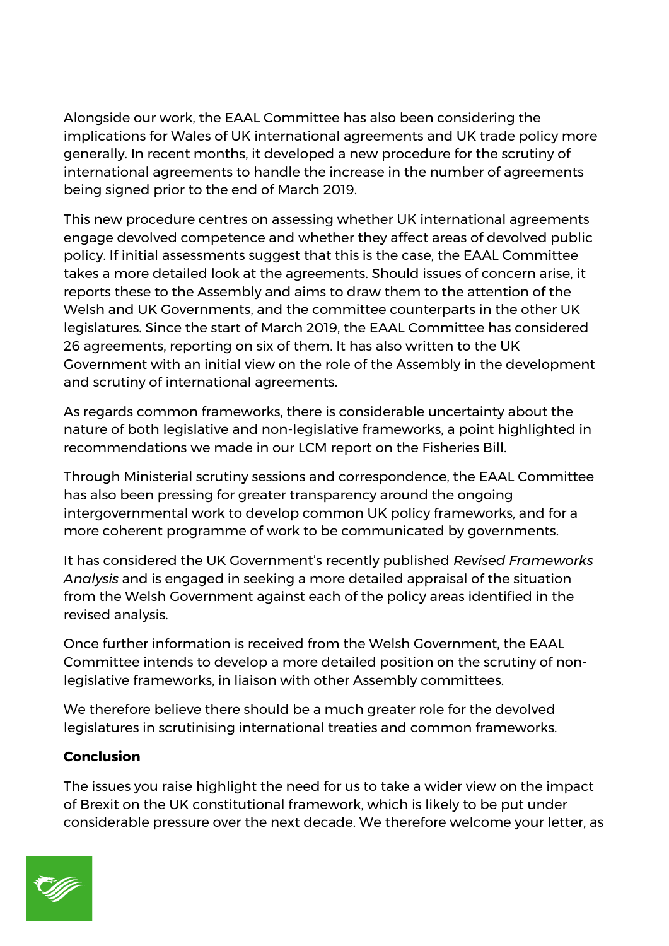Alongside our work, the EAAL Committee has also been considering the implications for Wales of UK international agreements and UK trade policy more generally. In recent months, it developed a new procedure for the scrutiny of international agreements to handle the increase in the number of agreements being signed prior to the end of March 2019.

This new procedure centres on assessing whether UK international agreements engage devolved competence and whether they affect areas of devolved public policy. If initial assessments suggest that this is the case, the EAAL Committee takes a more detailed look at the agreements. Should issues of concern arise, it reports these to the Assembly and aims to draw them to the attention of the Welsh and UK Governments, and the committee counterparts in the other UK legislatures. Since the start of March 2019, the EAAL Committee has considered 26 agreements, reporting on six of them. It has also written to the UK Government with an initial view on the role of the Assembly in the development and scrutiny of international agreements.

As regards common frameworks, there is considerable uncertainty about the nature of both legislative and non-legislative frameworks, a point highlighted in recommendations we made in our LCM report on the Fisheries Bill.

Through Ministerial scrutiny sessions and correspondence, the EAAL Committee has also been pressing for greater transparency around the ongoing intergovernmental work to develop common UK policy frameworks, and for a more coherent programme of work to be communicated by governments.

It has considered the UK Government's recently published *Revised Frameworks Analysis* and is engaged in seeking a more detailed appraisal of the situation from the Welsh Government against each of the policy areas identified in the revised analysis.

Once further information is received from the Welsh Government, the EAAL Committee intends to develop a more detailed position on the scrutiny of nonlegislative frameworks, in liaison with other Assembly committees.

We therefore believe there should be a much greater role for the devolved legislatures in scrutinising international treaties and common frameworks.

# **Conclusion**

The issues you raise highlight the need for us to take a wider view on the impact of Brexit on the UK constitutional framework, which is likely to be put under considerable pressure over the next decade. We therefore welcome your letter, as